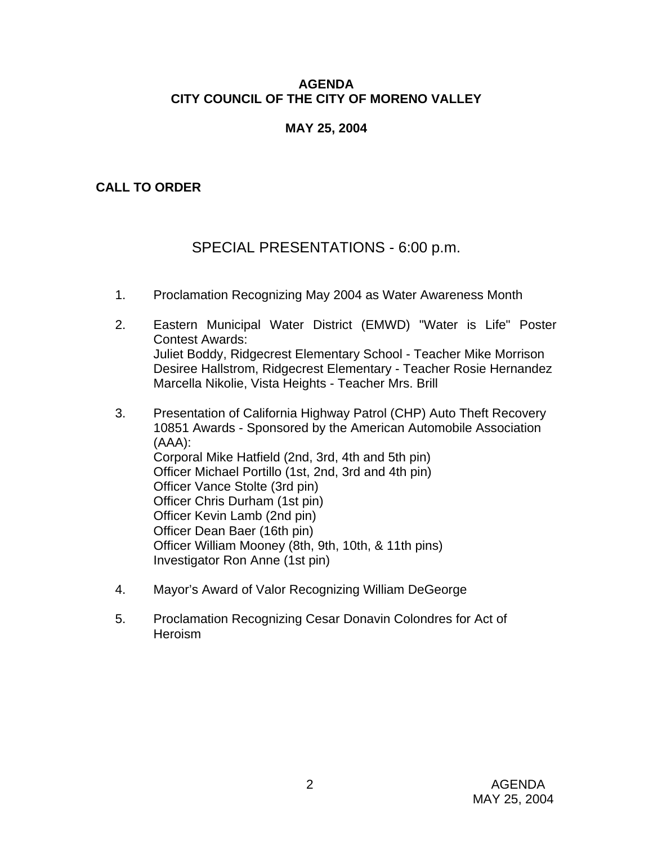### **AGENDA CITY COUNCIL OF THE CITY OF MORENO VALLEY**

## **MAY 25, 2004**

# **CALL TO ORDER**

# SPECIAL PRESENTATIONS - 6:00 p.m.

- 1. Proclamation Recognizing May 2004 as Water Awareness Month
- 2. Eastern Municipal Water District (EMWD) "Water is Life" Poster Contest Awards: Juliet Boddy, Ridgecrest Elementary School - Teacher Mike Morrison Desiree Hallstrom, Ridgecrest Elementary - Teacher Rosie Hernandez Marcella Nikolie, Vista Heights - Teacher Mrs. Brill
- 3. Presentation of California Highway Patrol (CHP) Auto Theft Recovery 10851 Awards - Sponsored by the American Automobile Association (AAA): Corporal Mike Hatfield (2nd, 3rd, 4th and 5th pin) Officer Michael Portillo (1st, 2nd, 3rd and 4th pin) Officer Vance Stolte (3rd pin) Officer Chris Durham (1st pin) Officer Kevin Lamb (2nd pin) Officer Dean Baer (16th pin) Officer William Mooney (8th, 9th, 10th, & 11th pins) Investigator Ron Anne (1st pin)
- 4. Mayor's Award of Valor Recognizing William DeGeorge
- 5. Proclamation Recognizing Cesar Donavin Colondres for Act of **Heroism**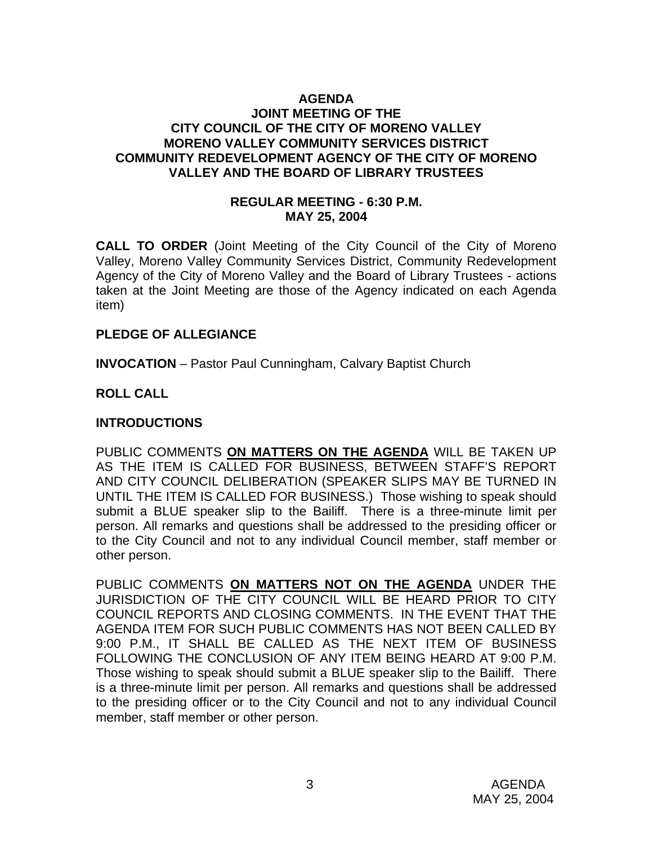#### **AGENDA JOINT MEETING OF THE CITY COUNCIL OF THE CITY OF MORENO VALLEY MORENO VALLEY COMMUNITY SERVICES DISTRICT COMMUNITY REDEVELOPMENT AGENCY OF THE CITY OF MORENO VALLEY AND THE BOARD OF LIBRARY TRUSTEES**

#### **REGULAR MEETING - 6:30 P.M. MAY 25, 2004**

**CALL TO ORDER** (Joint Meeting of the City Council of the City of Moreno Valley, Moreno Valley Community Services District, Community Redevelopment Agency of the City of Moreno Valley and the Board of Library Trustees - actions taken at the Joint Meeting are those of the Agency indicated on each Agenda item)

#### **PLEDGE OF ALLEGIANCE**

**INVOCATION** – Pastor Paul Cunningham, Calvary Baptist Church

#### **ROLL CALL**

#### **INTRODUCTIONS**

PUBLIC COMMENTS **ON MATTERS ON THE AGENDA** WILL BE TAKEN UP AS THE ITEM IS CALLED FOR BUSINESS, BETWEEN STAFF'S REPORT AND CITY COUNCIL DELIBERATION (SPEAKER SLIPS MAY BE TURNED IN UNTIL THE ITEM IS CALLED FOR BUSINESS.) Those wishing to speak should submit a BLUE speaker slip to the Bailiff. There is a three-minute limit per person. All remarks and questions shall be addressed to the presiding officer or to the City Council and not to any individual Council member, staff member or other person.

PUBLIC COMMENTS **ON MATTERS NOT ON THE AGENDA** UNDER THE JURISDICTION OF THE CITY COUNCIL WILL BE HEARD PRIOR TO CITY COUNCIL REPORTS AND CLOSING COMMENTS. IN THE EVENT THAT THE AGENDA ITEM FOR SUCH PUBLIC COMMENTS HAS NOT BEEN CALLED BY 9:00 P.M., IT SHALL BE CALLED AS THE NEXT ITEM OF BUSINESS FOLLOWING THE CONCLUSION OF ANY ITEM BEING HEARD AT 9:00 P.M. Those wishing to speak should submit a BLUE speaker slip to the Bailiff. There is a three-minute limit per person. All remarks and questions shall be addressed to the presiding officer or to the City Council and not to any individual Council member, staff member or other person.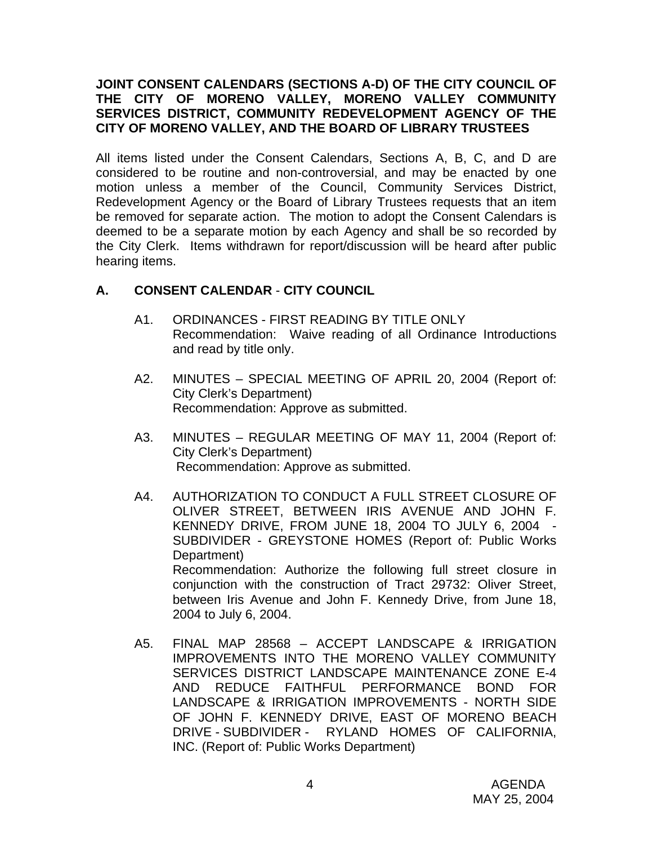### **JOINT CONSENT CALENDARS (SECTIONS A-D) OF THE CITY COUNCIL OF THE CITY OF MORENO VALLEY, MORENO VALLEY COMMUNITY SERVICES DISTRICT, COMMUNITY REDEVELOPMENT AGENCY OF THE CITY OF MORENO VALLEY, AND THE BOARD OF LIBRARY TRUSTEES**

All items listed under the Consent Calendars, Sections A, B, C, and D are considered to be routine and non-controversial, and may be enacted by one motion unless a member of the Council, Community Services District, Redevelopment Agency or the Board of Library Trustees requests that an item be removed for separate action. The motion to adopt the Consent Calendars is deemed to be a separate motion by each Agency and shall be so recorded by the City Clerk. Items withdrawn for report/discussion will be heard after public hearing items.

## **A. CONSENT CALENDAR** - **CITY COUNCIL**

- A1. ORDINANCES FIRST READING BY TITLE ONLY Recommendation: Waive reading of all Ordinance Introductions and read by title only.
- A2. MINUTES SPECIAL MEETING OF APRIL 20, 2004 (Report of: City Clerk's Department) Recommendation: Approve as submitted.
- A3. MINUTES REGULAR MEETING OF MAY 11, 2004 (Report of: City Clerk's Department) Recommendation: Approve as submitted.
- A4. AUTHORIZATION TO CONDUCT A FULL STREET CLOSURE OF OLIVER STREET, BETWEEN IRIS AVENUE AND JOHN F. KENNEDY DRIVE, FROM JUNE 18, 2004 TO JULY 6, 2004 - SUBDIVIDER - GREYSTONE HOMES (Report of: Public Works Department) Recommendation: Authorize the following full street closure in conjunction with the construction of Tract 29732: Oliver Street, between Iris Avenue and John F. Kennedy Drive, from June 18, 2004 to July 6, 2004.
- A5. FINAL MAP 28568 ACCEPT LANDSCAPE & IRRIGATION IMPROVEMENTS INTO THE MORENO VALLEY COMMUNITY SERVICES DISTRICT LANDSCAPE MAINTENANCE ZONE E-4 AND REDUCE FAITHFUL PERFORMANCE BOND FOR LANDSCAPE & IRRIGATION IMPROVEMENTS - NORTH SIDE OF JOHN F. KENNEDY DRIVE, EAST OF MORENO BEACH DRIVE - SUBDIVIDER - RYLAND HOMES OF CALIFORNIA, INC. (Report of: Public Works Department)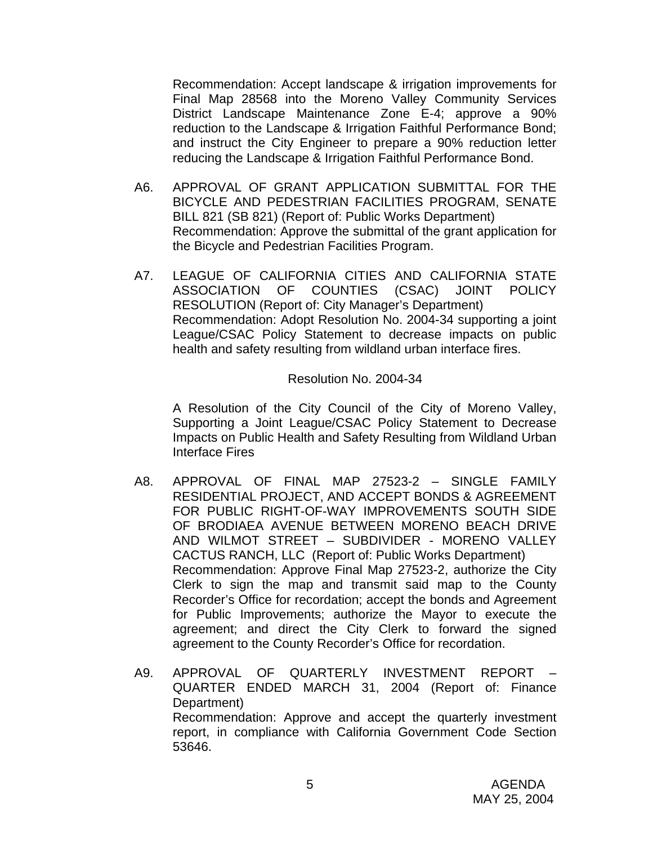Recommendation: Accept landscape & irrigation improvements for Final Map 28568 into the Moreno Valley Community Services District Landscape Maintenance Zone E-4; approve a 90% reduction to the Landscape & Irrigation Faithful Performance Bond; and instruct the City Engineer to prepare a 90% reduction letter reducing the Landscape & Irrigation Faithful Performance Bond.

- A6. APPROVAL OF GRANT APPLICATION SUBMITTAL FOR THE BICYCLE AND PEDESTRIAN FACILITIES PROGRAM, SENATE BILL 821 (SB 821) (Report of: Public Works Department) Recommendation: Approve the submittal of the grant application for the Bicycle and Pedestrian Facilities Program.
- A7. LEAGUE OF CALIFORNIA CITIES AND CALIFORNIA STATE ASSOCIATION OF COUNTIES (CSAC) JOINT POLICY RESOLUTION (Report of: City Manager's Department) Recommendation: Adopt Resolution No. 2004-34 supporting a joint League/CSAC Policy Statement to decrease impacts on public health and safety resulting from wildland urban interface fires.

Resolution No. 2004-34

A Resolution of the City Council of the City of Moreno Valley, Supporting a Joint League/CSAC Policy Statement to Decrease Impacts on Public Health and Safety Resulting from Wildland Urban Interface Fires

- A8. APPROVAL OF FINAL MAP 27523-2 SINGLE FAMILY RESIDENTIAL PROJECT, AND ACCEPT BONDS & AGREEMENT FOR PUBLIC RIGHT-OF-WAY IMPROVEMENTS SOUTH SIDE OF BRODIAEA AVENUE BETWEEN MORENO BEACH DRIVE AND WILMOT STREET – SUBDIVIDER - MORENO VALLEY CACTUS RANCH, LLC (Report of: Public Works Department) Recommendation: Approve Final Map 27523-2, authorize the City Clerk to sign the map and transmit said map to the County Recorder's Office for recordation; accept the bonds and Agreement for Public Improvements; authorize the Mayor to execute the agreement; and direct the City Clerk to forward the signed agreement to the County Recorder's Office for recordation.
- A9. APPROVAL OF QUARTERLY INVESTMENT REPORT QUARTER ENDED MARCH 31, 2004 (Report of: Finance Department) Recommendation: Approve and accept the quarterly investment report, in compliance with California Government Code Section 53646.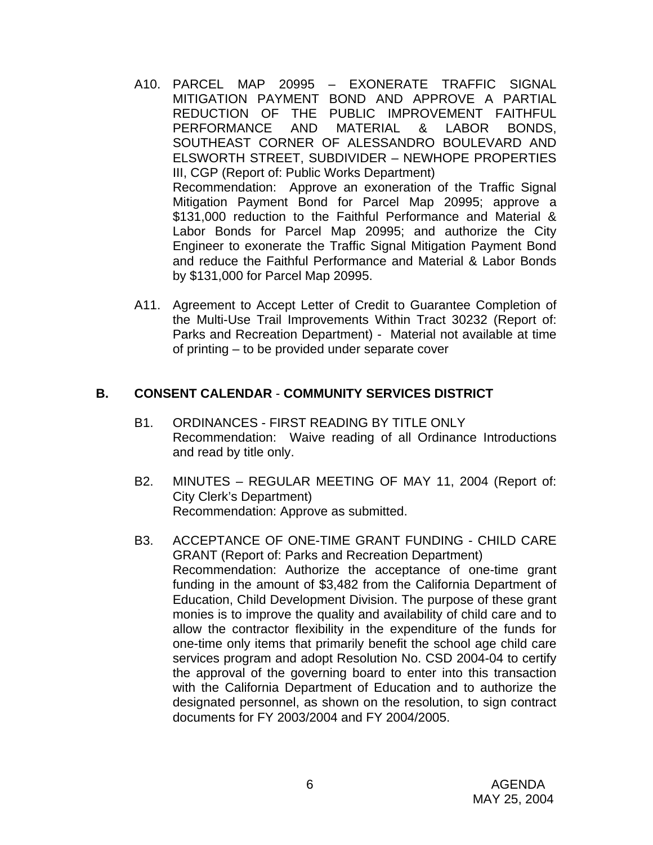- A10. PARCEL MAP 20995 EXONERATE TRAFFIC SIGNAL MITIGATION PAYMENT BOND AND APPROVE A PARTIAL REDUCTION OF THE PUBLIC IMPROVEMENT FAITHFUL PERFORMANCE AND MATERIAL & LABOR BONDS, SOUTHEAST CORNER OF ALESSANDRO BOULEVARD AND ELSWORTH STREET, SUBDIVIDER – NEWHOPE PROPERTIES III, CGP (Report of: Public Works Department) Recommendation: Approve an exoneration of the Traffic Signal Mitigation Payment Bond for Parcel Map 20995; approve a \$131,000 reduction to the Faithful Performance and Material & Labor Bonds for Parcel Map 20995; and authorize the City Engineer to exonerate the Traffic Signal Mitigation Payment Bond and reduce the Faithful Performance and Material & Labor Bonds by \$131,000 for Parcel Map 20995.
- A11. Agreement to Accept Letter of Credit to Guarantee Completion of the Multi-Use Trail Improvements Within Tract 30232 (Report of: Parks and Recreation Department) - Material not available at time of printing – to be provided under separate cover

#### **B. CONSENT CALENDAR** - **COMMUNITY SERVICES DISTRICT**

- B1. ORDINANCES FIRST READING BY TITLE ONLY Recommendation: Waive reading of all Ordinance Introductions and read by title only.
- B2. MINUTES REGULAR MEETING OF MAY 11, 2004 (Report of: City Clerk's Department) Recommendation: Approve as submitted.
- B3. ACCEPTANCE OF ONE-TIME GRANT FUNDING CHILD CARE GRANT (Report of: Parks and Recreation Department) Recommendation: Authorize the acceptance of one-time grant funding in the amount of \$3,482 from the California Department of Education, Child Development Division. The purpose of these grant monies is to improve the quality and availability of child care and to allow the contractor flexibility in the expenditure of the funds for one-time only items that primarily benefit the school age child care services program and adopt Resolution No. CSD 2004-04 to certify the approval of the governing board to enter into this transaction with the California Department of Education and to authorize the designated personnel, as shown on the resolution, to sign contract documents for FY 2003/2004 and FY 2004/2005.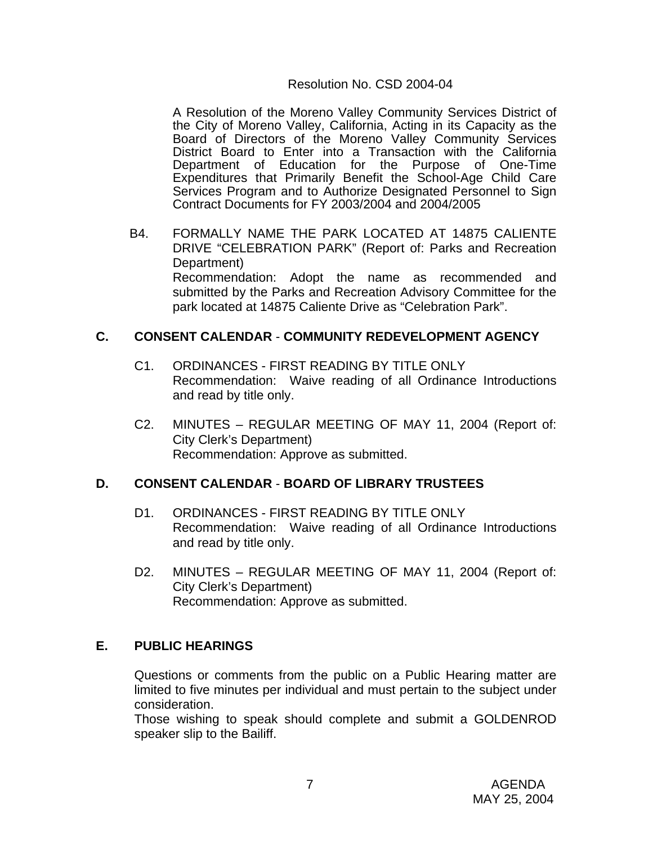#### Resolution No. CSD 2004-04

 A Resolution of the Moreno Valley Community Services District of the City of Moreno Valley, California, Acting in its Capacity as the Board of Directors of the Moreno Valley Community Services District Board to Enter into a Transaction with the California Department of Education for the Purpose of One-Time Expenditures that Primarily Benefit the School-Age Child Care Services Program and to Authorize Designated Personnel to Sign Contract Documents for FY 2003/2004 and 2004/2005

B4. FORMALLY NAME THE PARK LOCATED AT 14875 CALIENTE DRIVE "CELEBRATION PARK" (Report of: Parks and Recreation Department) Recommendation: Adopt the name as recommended and submitted by the Parks and Recreation Advisory Committee for the park located at 14875 Caliente Drive as "Celebration Park".

#### **C. CONSENT CALENDAR** - **COMMUNITY REDEVELOPMENT AGENCY**

- C1. ORDINANCES FIRST READING BY TITLE ONLY Recommendation: Waive reading of all Ordinance Introductions and read by title only.
- C2. MINUTES REGULAR MEETING OF MAY 11, 2004 (Report of: City Clerk's Department) Recommendation: Approve as submitted.

#### **D. CONSENT CALENDAR** - **BOARD OF LIBRARY TRUSTEES**

- D1. ORDINANCES FIRST READING BY TITLE ONLY Recommendation: Waive reading of all Ordinance Introductions and read by title only.
- D2. MINUTES REGULAR MEETING OF MAY 11, 2004 (Report of: City Clerk's Department) Recommendation: Approve as submitted.

#### **E. PUBLIC HEARINGS**

Questions or comments from the public on a Public Hearing matter are limited to five minutes per individual and must pertain to the subject under consideration.

 Those wishing to speak should complete and submit a GOLDENROD speaker slip to the Bailiff.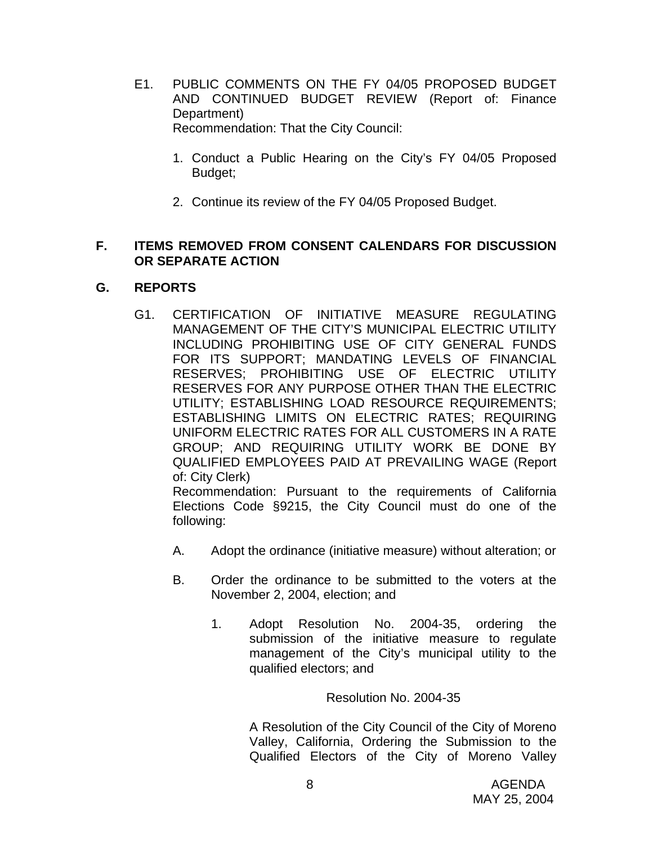- E1. PUBLIC COMMENTS ON THE FY 04/05 PROPOSED BUDGET AND CONTINUED BUDGET REVIEW (Report of: Finance Department) Recommendation: That the City Council:
	- 1. Conduct a Public Hearing on the City's FY 04/05 Proposed Budget;
	- 2. Continue its review of the FY 04/05 Proposed Budget.

### **F. ITEMS REMOVED FROM CONSENT CALENDARS FOR DISCUSSION OR SEPARATE ACTION**

# **G. REPORTS**

G1. CERTIFICATION OF INITIATIVE MEASURE REGULATING MANAGEMENT OF THE CITY'S MUNICIPAL ELECTRIC UTILITY INCLUDING PROHIBITING USE OF CITY GENERAL FUNDS FOR ITS SUPPORT; MANDATING LEVELS OF FINANCIAL RESERVES; PROHIBITING USE OF ELECTRIC UTILITY RESERVES FOR ANY PURPOSE OTHER THAN THE ELECTRIC UTILITY; ESTABLISHING LOAD RESOURCE REQUIREMENTS; ESTABLISHING LIMITS ON ELECTRIC RATES; REQUIRING UNIFORM ELECTRIC RATES FOR ALL CUSTOMERS IN A RATE GROUP; AND REQUIRING UTILITY WORK BE DONE BY QUALIFIED EMPLOYEES PAID AT PREVAILING WAGE (Report of: City Clerk)

 Recommendation: Pursuant to the requirements of California Elections Code §9215, the City Council must do one of the following:

- A. Adopt the ordinance (initiative measure) without alteration; or
- B. Order the ordinance to be submitted to the voters at the November 2, 2004, election; and
	- 1. Adopt Resolution No. 2004-35, ordering the submission of the initiative measure to regulate management of the City's municipal utility to the qualified electors; and

Resolution No. 2004-35

A Resolution of the City Council of the City of Moreno Valley, California, Ordering the Submission to the Qualified Electors of the City of Moreno Valley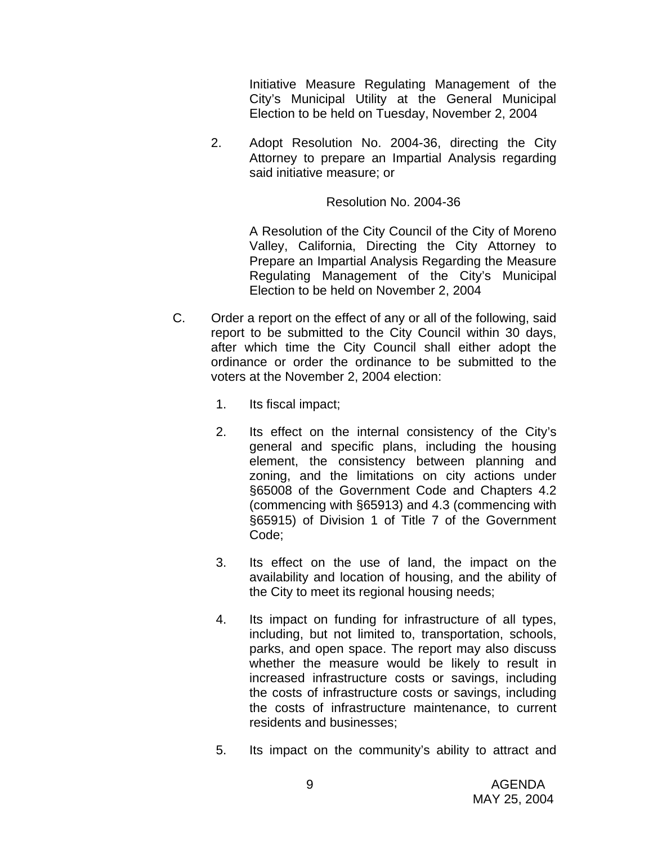Initiative Measure Regulating Management of the City's Municipal Utility at the General Municipal Election to be held on Tuesday, November 2, 2004

2. Adopt Resolution No. 2004-36, directing the City Attorney to prepare an Impartial Analysis regarding said initiative measure; or

#### Resolution No. 2004-36

A Resolution of the City Council of the City of Moreno Valley, California, Directing the City Attorney to Prepare an Impartial Analysis Regarding the Measure Regulating Management of the City's Municipal Election to be held on November 2, 2004

- C. Order a report on the effect of any or all of the following, said report to be submitted to the City Council within 30 days, after which time the City Council shall either adopt the ordinance or order the ordinance to be submitted to the voters at the November 2, 2004 election:
	- 1. Its fiscal impact;
	- 2. Its effect on the internal consistency of the City's general and specific plans, including the housing element, the consistency between planning and zoning, and the limitations on city actions under §65008 of the Government Code and Chapters 4.2 (commencing with §65913) and 4.3 (commencing with §65915) of Division 1 of Title 7 of the Government Code;
	- 3. Its effect on the use of land, the impact on the availability and location of housing, and the ability of the City to meet its regional housing needs;
	- 4. Its impact on funding for infrastructure of all types, including, but not limited to, transportation, schools, parks, and open space. The report may also discuss whether the measure would be likely to result in increased infrastructure costs or savings, including the costs of infrastructure costs or savings, including the costs of infrastructure maintenance, to current residents and businesses;
	- 5. Its impact on the community's ability to attract and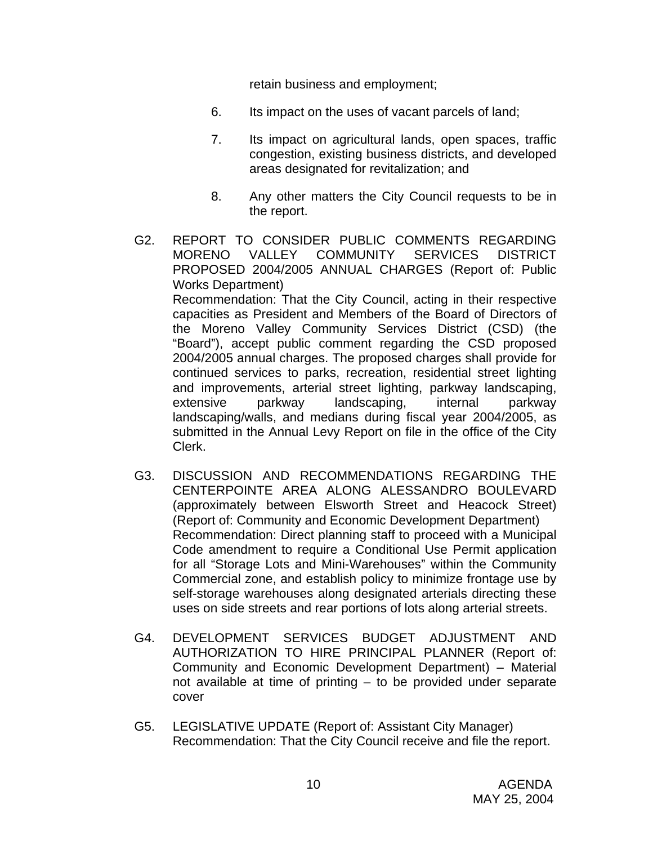retain business and employment;

- 6. Its impact on the uses of vacant parcels of land;
- 7. Its impact on agricultural lands, open spaces, traffic congestion, existing business districts, and developed areas designated for revitalization; and
- 8. Any other matters the City Council requests to be in the report.
- G2. REPORT TO CONSIDER PUBLIC COMMENTS REGARDING MORENO VALLEY COMMUNITY SERVICES DISTRICT PROPOSED 2004/2005 ANNUAL CHARGES (Report of: Public Works Department) Recommendation: That the City Council, acting in their respective capacities as President and Members of the Board of Directors of the Moreno Valley Community Services District (CSD) (the "Board"), accept public comment regarding the CSD proposed 2004/2005 annual charges. The proposed charges shall provide for continued services to parks, recreation, residential street lighting and improvements, arterial street lighting, parkway landscaping, extensive parkway landscaping, internal parkway landscaping/walls, and medians during fiscal year 2004/2005, as submitted in the Annual Levy Report on file in the office of the City Clerk.
- G3. DISCUSSION AND RECOMMENDATIONS REGARDING THE CENTERPOINTE AREA ALONG ALESSANDRO BOULEVARD (approximately between Elsworth Street and Heacock Street) (Report of: Community and Economic Development Department) Recommendation: Direct planning staff to proceed with a Municipal Code amendment to require a Conditional Use Permit application for all "Storage Lots and Mini-Warehouses" within the Community Commercial zone, and establish policy to minimize frontage use by self-storage warehouses along designated arterials directing these uses on side streets and rear portions of lots along arterial streets.
- G4. DEVELOPMENT SERVICES BUDGET ADJUSTMENT AND AUTHORIZATION TO HIRE PRINCIPAL PLANNER (Report of: Community and Economic Development Department) – Material not available at time of printing – to be provided under separate cover
- G5. LEGISLATIVE UPDATE (Report of: Assistant City Manager) Recommendation: That the City Council receive and file the report.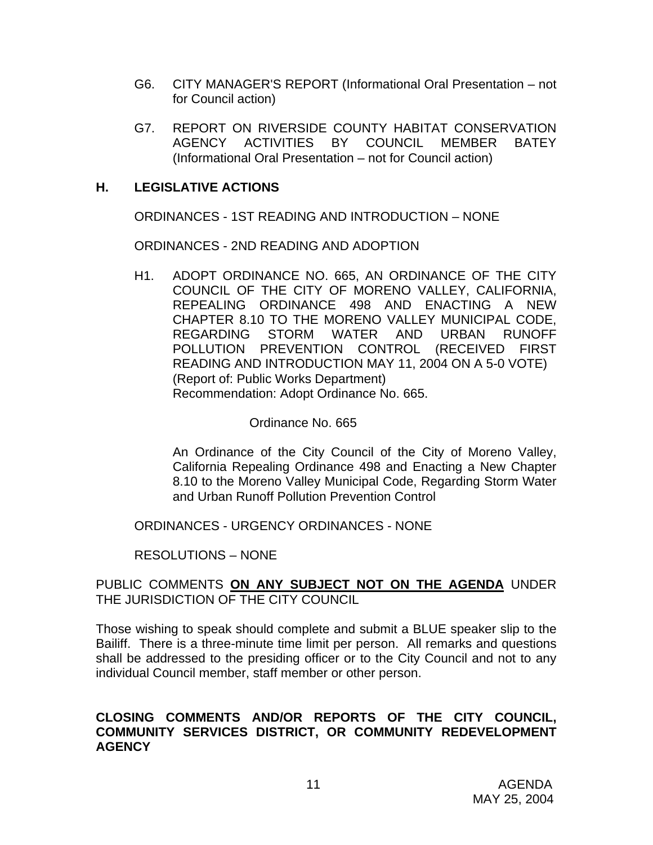- G6. CITY MANAGER'S REPORT (Informational Oral Presentation not for Council action)
- G7. REPORT ON RIVERSIDE COUNTY HABITAT CONSERVATION AGENCY ACTIVITIES BY COUNCIL MEMBER BATEY (Informational Oral Presentation – not for Council action)

# **H. LEGISLATIVE ACTIONS**

ORDINANCES - 1ST READING AND INTRODUCTION – NONE

ORDINANCES - 2ND READING AND ADOPTION

H1. ADOPT ORDINANCE NO. 665, AN ORDINANCE OF THE CITY COUNCIL OF THE CITY OF MORENO VALLEY, CALIFORNIA, REPEALING ORDINANCE 498 AND ENACTING A NEW CHAPTER 8.10 TO THE MORENO VALLEY MUNICIPAL CODE, REGARDING STORM WATER AND URBAN RUNOFF POLLUTION PREVENTION CONTROL (RECEIVED FIRST READING AND INTRODUCTION MAY 11, 2004 ON A 5-0 VOTE) (Report of: Public Works Department) Recommendation: Adopt Ordinance No. 665.

#### Ordinance No. 665

 An Ordinance of the City Council of the City of Moreno Valley, California Repealing Ordinance 498 and Enacting a New Chapter 8.10 to the Moreno Valley Municipal Code, Regarding Storm Water and Urban Runoff Pollution Prevention Control

ORDINANCES - URGENCY ORDINANCES - NONE

RESOLUTIONS – NONE

#### PUBLIC COMMENTS **ON ANY SUBJECT NOT ON THE AGENDA** UNDER THE JURISDICTION OF THE CITY COUNCIL

Those wishing to speak should complete and submit a BLUE speaker slip to the Bailiff. There is a three-minute time limit per person. All remarks and questions shall be addressed to the presiding officer or to the City Council and not to any individual Council member, staff member or other person.

## **CLOSING COMMENTS AND/OR REPORTS OF THE CITY COUNCIL, COMMUNITY SERVICES DISTRICT, OR COMMUNITY REDEVELOPMENT AGENCY**